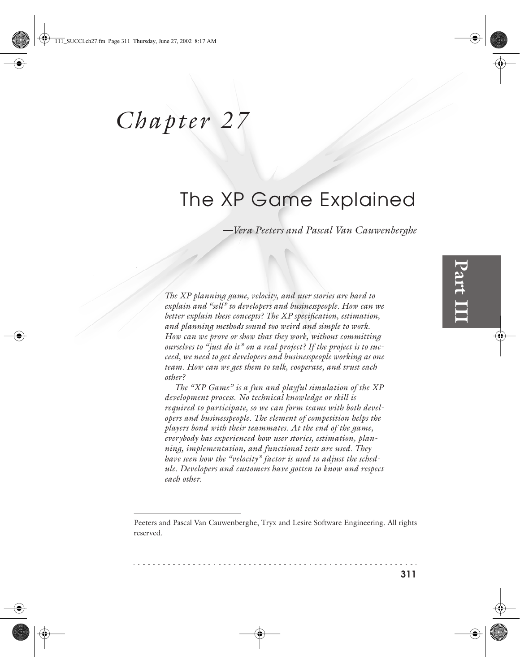*Chapter 27*

# The XP Game Explained

*—Vera Peeters and Pascal Van Cauwenberghe*

**Part III**

*The XP planning game, velocity, and user stories are hard to explain and "sell" to developers and businesspeople. How can we better explain these concepts? The XP specification, estimation, and planning methods sound too weird and simple to work. How can we prove or show that they work, without committing ourselves to "just do it" on a real project? If the project is to succeed, we need to get developers and businesspeople working as one team. How can we get them to talk, cooperate, and trust each other?*

*The "XP Game" is a fun and playful simulation of the XP development process. No technical knowledge or skill is required to participate, so we can form teams with both developers and businesspeople. The element of competition helps the players bond with their teammates. At the end of the game, everybody has experienced how user stories, estimation, planning, implementation, and functional tests are used. They have seen how the "velocity" factor is used to adjust the schedule. Developers and customers have gotten to know and respect each other.*

311

Peeters and Pascal Van Cauwenberghe, Tryx and Lesire Software Engineering. All rights reserved.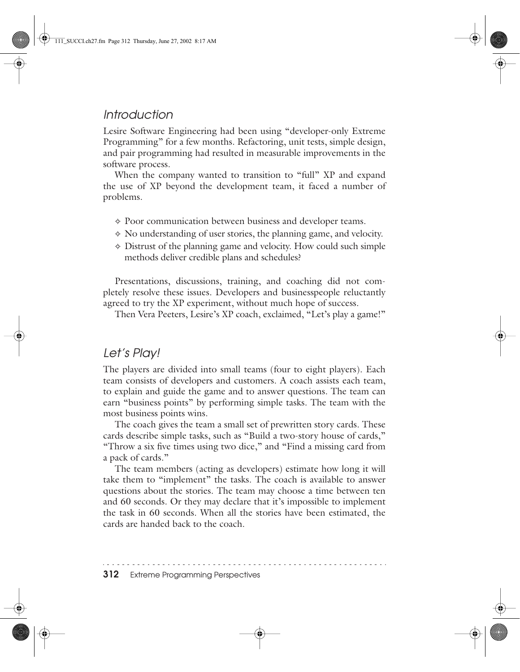#### *Introduction*

Lesire Software Engineering had been using "developer-only Extreme Programming" for a few months. Refactoring, unit tests, simple design, and pair programming had resulted in measurable improvements in the software process.

When the company wanted to transition to "full" XP and expand the use of XP beyond the development team, it faced a number of problems.

- ✧ Poor communication between business and developer teams.
- ✧ No understanding of user stories, the planning game, and velocity.
- ✧ Distrust of the planning game and velocity. How could such simple methods deliver credible plans and schedules?

Presentations, discussions, training, and coaching did not completely resolve these issues. Developers and businesspeople reluctantly agreed to try the XP experiment, without much hope of success.

Then Vera Peeters, Lesire's XP coach, exclaimed, "Let's play a game!"

#### *Let's Play!*

The players are divided into small teams (four to eight players). Each team consists of developers and customers. A coach assists each team, to explain and guide the game and to answer questions. The team can earn "business points" by performing simple tasks. The team with the most business points wins.

The coach gives the team a small set of prewritten story cards. These cards describe simple tasks, such as "Build a two-story house of cards," "Throw a six five times using two dice," and "Find a missing card from a pack of cards."

The team members (acting as developers) estimate how long it will take them to "implement" the tasks. The coach is available to answer questions about the stories. The team may choose a time between ten and 60 seconds. Or they may declare that it's impossible to implement the task in 60 seconds. When all the stories have been estimated, the cards are handed back to the coach.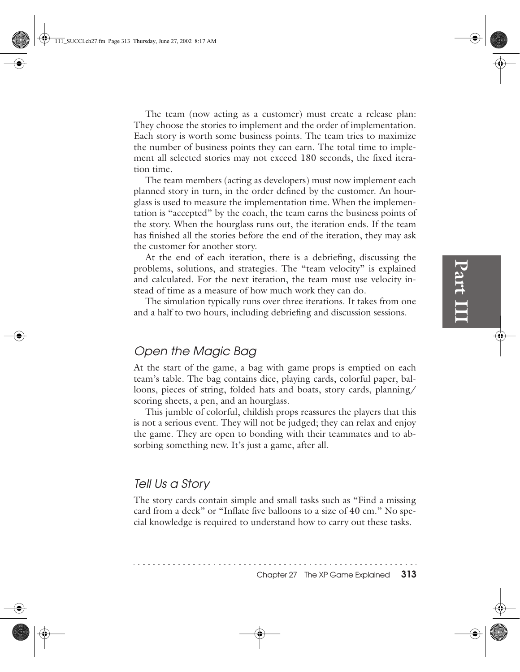The team (now acting as a customer) must create a release plan: They choose the stories to implement and the order of implementation. Each story is worth some business points. The team tries to maximize the number of business points they can earn. The total time to implement all selected stories may not exceed 180 seconds, the fixed iteration time.

The team members (acting as developers) must now implement each planned story in turn, in the order defined by the customer. An hourglass is used to measure the implementation time. When the implementation is "accepted" by the coach, the team earns the business points of the story. When the hourglass runs out, the iteration ends. If the team has finished all the stories before the end of the iteration, they may ask the customer for another story.

At the end of each iteration, there is a debriefing, discussing the problems, solutions, and strategies. The "team velocity" is explained and calculated. For the next iteration, the team must use velocity instead of time as a measure of how much work they can do.

The simulation typically runs over three iterations. It takes from one and a half to two hours, including debriefing and discussion sessions.

**Part III**

#### *Open the Magic Bag*

At the start of the game, a bag with game props is emptied on each team's table. The bag contains dice, playing cards, colorful paper, balloons, pieces of string, folded hats and boats, story cards, planning/ scoring sheets, a pen, and an hourglass.

This jumble of colorful, childish props reassures the players that this is not a serious event. They will not be judged; they can relax and enjoy the game. They are open to bonding with their teammates and to absorbing something new. It's just a game, after all.

#### *Tell Us a Story*

The story cards contain simple and small tasks such as "Find a missing card from a deck" or "Inflate five balloons to a size of 40 cm." No special knowledge is required to understand how to carry out these tasks.

Chapter 27 The XP Game Explained 313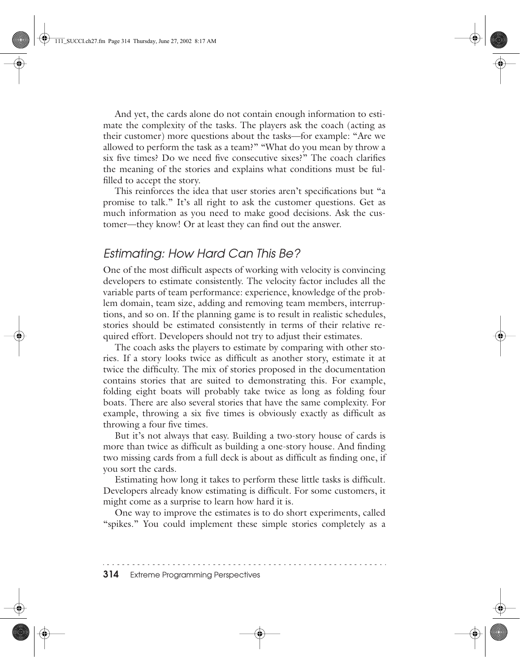And yet, the cards alone do not contain enough information to estimate the complexity of the tasks. The players ask the coach (acting as their customer) more questions about the tasks—for example: "Are we allowed to perform the task as a team?" "What do you mean by throw a six five times? Do we need five consecutive sixes?" The coach clarifies the meaning of the stories and explains what conditions must be fulfilled to accept the story.

This reinforces the idea that user stories aren't specifications but "a promise to talk." It's all right to ask the customer questions. Get as much information as you need to make good decisions. Ask the customer—they know! Or at least they can find out the answer.

#### *Estimating: How Hard Can This Be?*

One of the most difficult aspects of working with velocity is convincing developers to estimate consistently. The velocity factor includes all the variable parts of team performance: experience, knowledge of the problem domain, team size, adding and removing team members, interruptions, and so on. If the planning game is to result in realistic schedules, stories should be estimated consistently in terms of their relative required effort. Developers should not try to adjust their estimates.

The coach asks the players to estimate by comparing with other stories. If a story looks twice as difficult as another story, estimate it at twice the difficulty. The mix of stories proposed in the documentation contains stories that are suited to demonstrating this. For example, folding eight boats will probably take twice as long as folding four boats. There are also several stories that have the same complexity. For example, throwing a six five times is obviously exactly as difficult as throwing a four five times.

But it's not always that easy. Building a two-story house of cards is more than twice as difficult as building a one-story house. And finding two missing cards from a full deck is about as difficult as finding one, if you sort the cards.

Estimating how long it takes to perform these little tasks is difficult. Developers already know estimating is difficult. For some customers, it might come as a surprise to learn how hard it is.

One way to improve the estimates is to do short experiments, called "spikes." You could implement these simple stories completely as a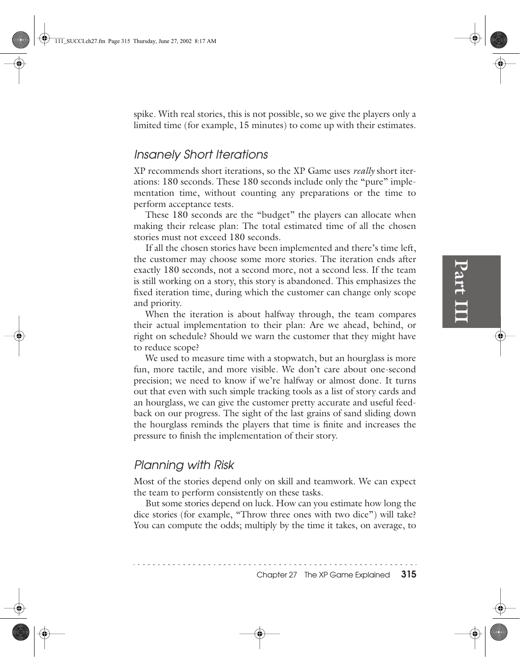111\_SUCCI.ch27.fm Page 315 Thursday, June 27, 2002 8:17 AM

spike. With real stories, this is not possible, so we give the players only a limited time (for example, 15 minutes) to come up with their estimates.

#### *Insanely Short Iterations*

XP recommends short iterations, so the XP Game uses *really* short iterations: 180 seconds. These 180 seconds include only the "pure" implementation time, without counting any preparations or the time to perform acceptance tests.

These 180 seconds are the "budget" the players can allocate when making their release plan: The total estimated time of all the chosen stories must not exceed 180 seconds.

If all the chosen stories have been implemented and there's time left, the customer may choose some more stories. The iteration ends after exactly 180 seconds, not a second more, not a second less. If the team is still working on a story, this story is abandoned. This emphasizes the fixed iteration time, during which the customer can change only scope and priority.

When the iteration is about halfway through, the team compares their actual implementation to their plan: Are we ahead, behind, or right on schedule? Should we warn the customer that they might have to reduce scope?

We used to measure time with a stopwatch, but an hourglass is more fun, more tactile, and more visible. We don't care about one-second precision; we need to know if we're halfway or almost done. It turns out that even with such simple tracking tools as a list of story cards and an hourglass, we can give the customer pretty accurate and useful feedback on our progress. The sight of the last grains of sand sliding down the hourglass reminds the players that time is finite and increases the pressure to finish the implementation of their story.

#### *Planning with Risk*

Most of the stories depend only on skill and teamwork. We can expect the team to perform consistently on these tasks.

But some stories depend on luck. How can you estimate how long the dice stories (for example, "Throw three ones with two dice") will take? You can compute the odds; multiply by the time it takes, on average, to

Chapter 27 The XP Game Explained 315

**Part III**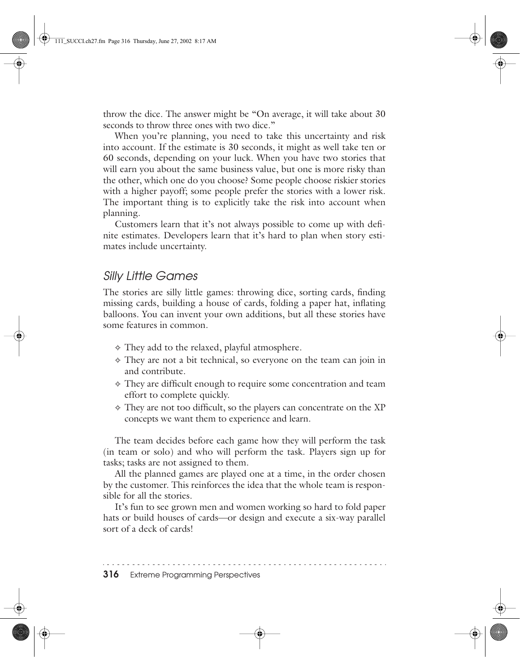throw the dice. The answer might be "On average, it will take about 30 seconds to throw three ones with two dice."

When you're planning, you need to take this uncertainty and risk into account. If the estimate is 30 seconds, it might as well take ten or 60 seconds, depending on your luck. When you have two stories that will earn you about the same business value, but one is more risky than the other, which one do you choose? Some people choose riskier stories with a higher payoff; some people prefer the stories with a lower risk. The important thing is to explicitly take the risk into account when planning.

Customers learn that it's not always possible to come up with definite estimates. Developers learn that it's hard to plan when story estimates include uncertainty.

#### *Silly Little Games*

The stories are silly little games: throwing dice, sorting cards, finding missing cards, building a house of cards, folding a paper hat, inflating balloons. You can invent your own additions, but all these stories have some features in common.

- ✧ They add to the relaxed, playful atmosphere.
- ✧ They are not a bit technical, so everyone on the team can join in and contribute.
- ✧ They are difficult enough to require some concentration and team effort to complete quickly.
- ✧ They are not too difficult, so the players can concentrate on the XP concepts we want them to experience and learn.

The team decides before each game how they will perform the task (in team or solo) and who will perform the task. Players sign up for tasks; tasks are not assigned to them.

All the planned games are played one at a time, in the order chosen by the customer. This reinforces the idea that the whole team is responsible for all the stories.

It's fun to see grown men and women working so hard to fold paper hats or build houses of cards—or design and execute a six-way parallel sort of a deck of cards!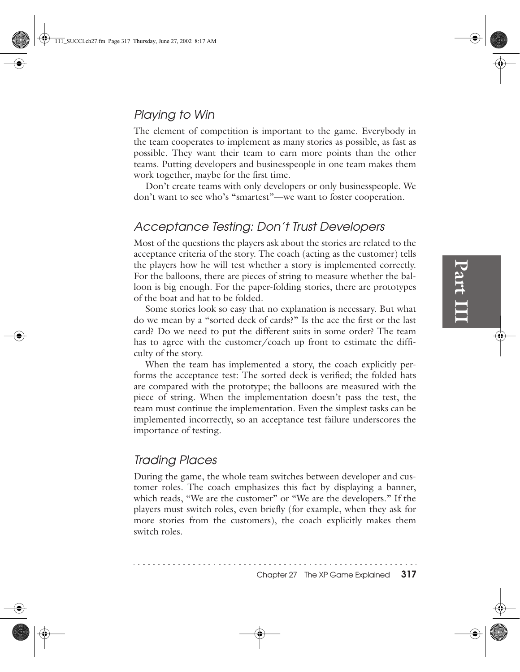### *Playing to Win*

The element of competition is important to the game. Everybody in the team cooperates to implement as many stories as possible, as fast as possible. They want their team to earn more points than the other teams. Putting developers and businesspeople in one team makes them work together, maybe for the first time.

Don't create teams with only developers or only businesspeople. We don't want to see who's "smartest"—we want to foster cooperation.

#### *Acceptance Testing: Don't Trust Developers*

Most of the questions the players ask about the stories are related to the acceptance criteria of the story. The coach (acting as the customer) tells the players how he will test whether a story is implemented correctly. For the balloons, there are pieces of string to measure whether the balloon is big enough. For the paper-folding stories, there are prototypes of the boat and hat to be folded.

Some stories look so easy that no explanation is necessary. But what do we mean by a "sorted deck of cards?" Is the ace the first or the last card? Do we need to put the different suits in some order? The team has to agree with the customer/coach up front to estimate the difficulty of the story.

When the team has implemented a story, the coach explicitly performs the acceptance test: The sorted deck is verified; the folded hats are compared with the prototype; the balloons are measured with the piece of string. When the implementation doesn't pass the test, the team must continue the implementation. Even the simplest tasks can be implemented incorrectly, so an acceptance test failure underscores the importance of testing.

#### *Trading Places*

During the game, the whole team switches between developer and customer roles. The coach emphasizes this fact by displaying a banner, which reads, "We are the customer" or "We are the developers." If the players must switch roles, even briefly (for example, when they ask for more stories from the customers), the coach explicitly makes them switch roles.

Chapter 27 The XP Game Explained 317

**Part III**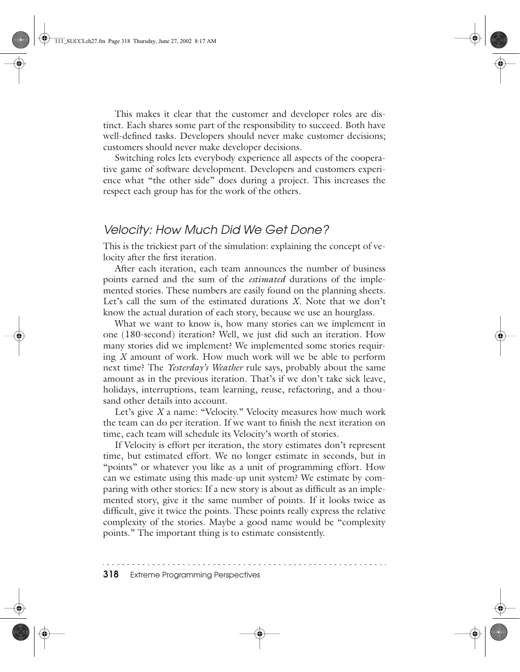This makes it clear that the customer and developer roles are distinct. Each shares some part of the responsibility to succeed. Both have well-defined tasks. Developers should never make customer decisions; customers should never make developer decisions.

Switching roles lets everybody experience all aspects of the cooperative game of software development. Developers and customers experience what "the other side" does during a project. This increases the respect each group has for the work of the others.

#### *Velocity: How Much Did We Get Done?*

This is the trickiest part of the simulation: explaining the concept of velocity after the first iteration.

After each iteration, each team announces the number of business points earned and the sum of the *estimated* durations of the implemented stories. These numbers are easily found on the planning sheets. Let's call the sum of the estimated durations *X*. Note that we don't know the actual duration of each story, because we use an hourglass.

What we want to know is, how many stories can we implement in one (180-second) iteration? Well, we just did such an iteration. How many stories did we implement? We implemented some stories requiring *X* amount of work. How much work will we be able to perform next time? The *Yesterday's Weather* rule says, probably about the same amount as in the previous iteration. That's if we don't take sick leave, holidays, interruptions, team learning, reuse, refactoring, and a thousand other details into account.

Let's give *X* a name: "Velocity." Velocity measures how much work the team can do per iteration. If we want to finish the next iteration on time, each team will schedule its Velocity's worth of stories.

If Velocity is effort per iteration, the story estimates don't represent time, but estimated effort. We no longer estimate in seconds, but in "points" or whatever you like as a unit of programming effort. How can we estimate using this made-up unit system? We estimate by comparing with other stories: If a new story is about as difficult as an implemented story, give it the same number of points. If it looks twice as difficult, give it twice the points. These points really express the relative complexity of the stories. Maybe a good name would be "complexity points." The important thing is to estimate consistently.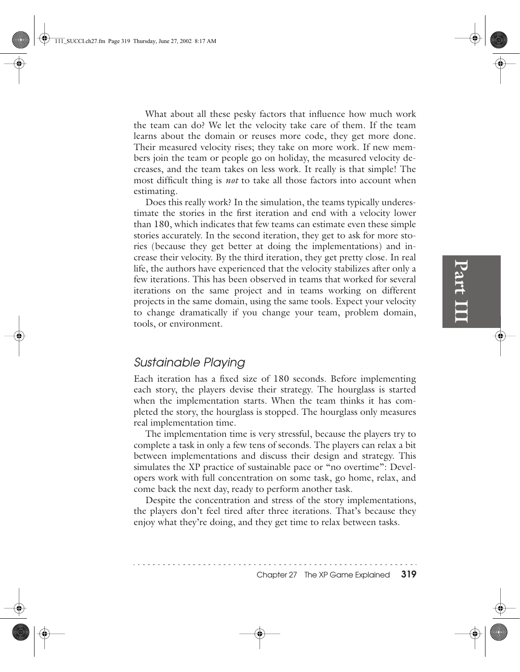What about all these pesky factors that influence how much work the team can do? We let the velocity take care of them. If the team learns about the domain or reuses more code, they get more done. Their measured velocity rises; they take on more work. If new members join the team or people go on holiday, the measured velocity decreases, and the team takes on less work. It really is that simple! The most difficult thing is *not* to take all those factors into account when estimating.

Does this really work? In the simulation, the teams typically underestimate the stories in the first iteration and end with a velocity lower than 180, which indicates that few teams can estimate even these simple stories accurately. In the second iteration, they get to ask for more stories (because they get better at doing the implementations) and increase their velocity. By the third iteration, they get pretty close. In real life, the authors have experienced that the velocity stabilizes after only a few iterations. This has been observed in teams that worked for several iterations on the same project and in teams working on different projects in the same domain, using the same tools. Expect your velocity to change dramatically if you change your team, problem domain, tools, or environment.

#### *Sustainable Playing*

Each iteration has a fixed size of 180 seconds. Before implementing each story, the players devise their strategy. The hourglass is started when the implementation starts. When the team thinks it has completed the story, the hourglass is stopped. The hourglass only measures real implementation time.

The implementation time is very stressful, because the players try to complete a task in only a few tens of seconds. The players can relax a bit between implementations and discuss their design and strategy. This simulates the XP practice of sustainable pace or "no overtime": Developers work with full concentration on some task, go home, relax, and come back the next day, ready to perform another task.

Despite the concentration and stress of the story implementations, the players don't feel tired after three iterations. That's because they enjoy what they're doing, and they get time to relax between tasks.

Chapter 27 The XP Game Explained 319

**Part III**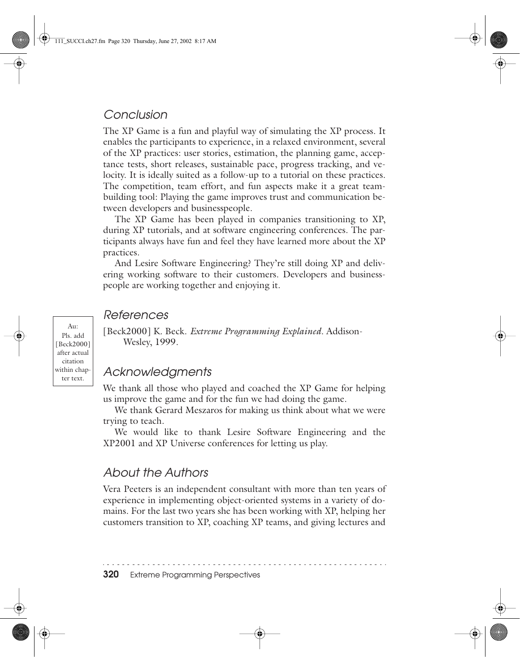#### *Conclusion*

The XP Game is a fun and playful way of simulating the XP process. It enables the participants to experience, in a relaxed environment, several of the XP practices: user stories, estimation, the planning game, acceptance tests, short releases, sustainable pace, progress tracking, and velocity. It is ideally suited as a follow-up to a tutorial on these practices. The competition, team effort, and fun aspects make it a great teambuilding tool: Playing the game improves trust and communication between developers and businesspeople.

The XP Game has been played in companies transitioning to XP, during XP tutorials, and at software engineering conferences. The participants always have fun and feel they have learned more about the XP practices.

And Lesire Software Engineering? They're still doing XP and delivering working software to their customers. Developers and businesspeople are working together and enjoying it.

## *References*

Au: Pls. add [Beck2000] after actual citation within chapter text.

[Beck2000] K. Beck. *Extreme Programming Explained.* Addison-Wesley, 1999.

#### *Acknowledgments*

We thank all those who played and coached the XP Game for helping us improve the game and for the fun we had doing the game.

We thank Gerard Meszaros for making us think about what we were trying to teach.

We would like to thank Lesire Software Engineering and the XP2001 and XP Universe conferences for letting us play.

#### *About the Authors*

Vera Peeters is an independent consultant with more than ten years of experience in implementing object-oriented systems in a variety of domains. For the last two years she has been working with XP, helping her customers transition to XP, coaching XP teams, and giving lectures and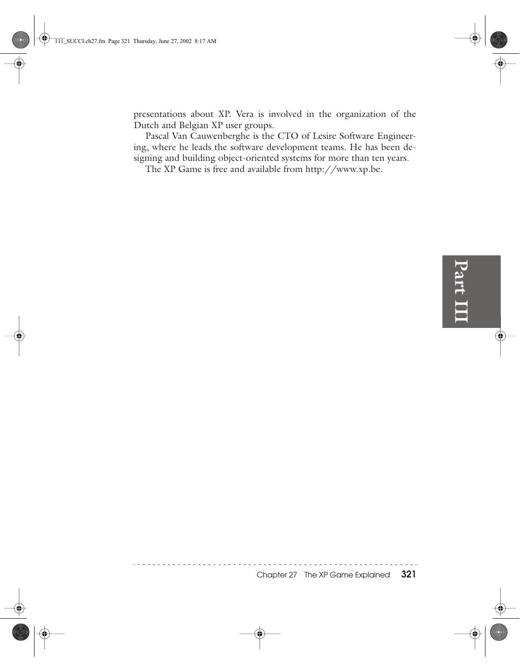

presentations about XP. Vera is involved in the organization of the Dutch and Belgian XP user groups.

Pascal Van Cauwenberghe is the CTO of Lesire Software Engineering, where he leads the software development teams. He has been designing and building object-oriented systems for more than ten years.

The XP Game is free and available from http://www.xp.be.

Chapter 27 The XP Game Explained 321